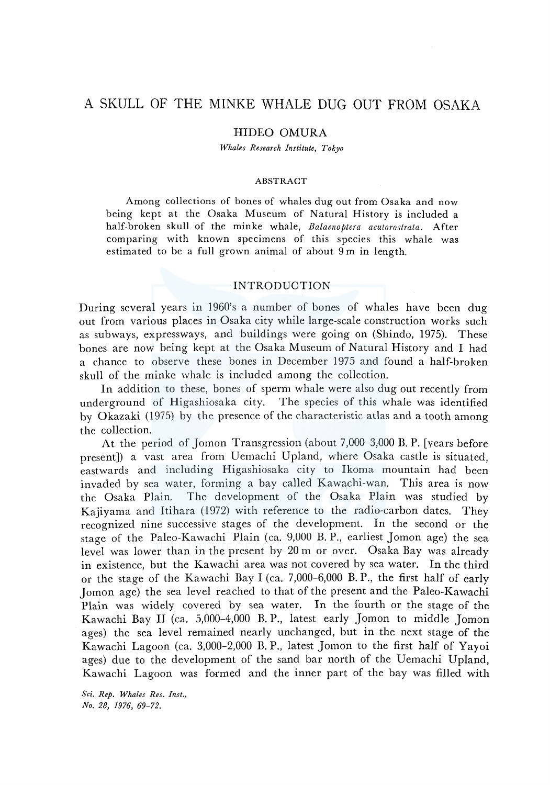# A SKULL OF THE MINKE WHALE DUG OUT FROM OSAKA

# HIDEO OMURA

*Whales Research Institute, Tokyo* 

#### ABSTRACT

Among collections of bones of whales dug out from Osaka and now being kept at the Osaka Museum of Natural History is included a half-broken skull of the minke whale, *Balaenoptera acutorastrata.* After comparing with known specimens of this species this whale was estimated to be a full grown animal of about  $9m$  in length.

### INTRODUCTION

During several years in 1960's a number of bones of whales have been dug out from various places in Osaka city while large-scale construction works such as subways, expressways, and buildings were going on (Shindo, 1975). These bones are now being kept at the Osaka Museum of Natural History and I had a chance to observe these bones in December 1975 and found a half-broken skull of the minke whale is included among the collection.

In addition to these, bones of sperm whale were also dug out recently from underground of Higashiosaka city. The species of this whale was identified by Okazaki (1975) by the presence of the characteristic atlas and a tooth among the collection.

At the period of Jomon Transgression (about 7,000-3,000 B. P. [years before present]) a vast area from Uemachi Upland, where Osaka castle is situated, eastwards and including Higashiosaka city to Ikoma mountain had been invaded by sea water, forming a bay called Kawachi-wan. This area is now the Osaka Plain. The development of the Osaka Plain was studied by Kajiyama and Itihara (1972) with reference to the radio-carbon dates. They recognized nine successive stages of the development. In the second or the stage of the Paleo-Kawachi Plain (ea. 9,000 B. P., earliest Jomon age) the sea level was lower than in the present by 20 m or over. Osaka Bay was already in existence, but the Kawachi area was not covered by sea water. In the third or the stage of the Kawachi Bay I (ea. 7,000-6,000 B. P., the first half of early Jomon age) the sea level reached to that of the present and the Paleo-Kawachi Plain was widely covered by sea water. In the fourth or the stage of the Kawachi Bay II (ea. 5,000-4,000 B. P., latest early Jomon to middle Jomon ages) the sea level remained nearly unchanged, but in the next stage of the Kawachi Lagoon (ea. 3,000-2,000 B. P., latest Jomon to the first half of Yayoi ages) due to the development of the sand bar north of the Uemachi Upland, Kawachi Lagoon was formed and the inner part of the bay was filled with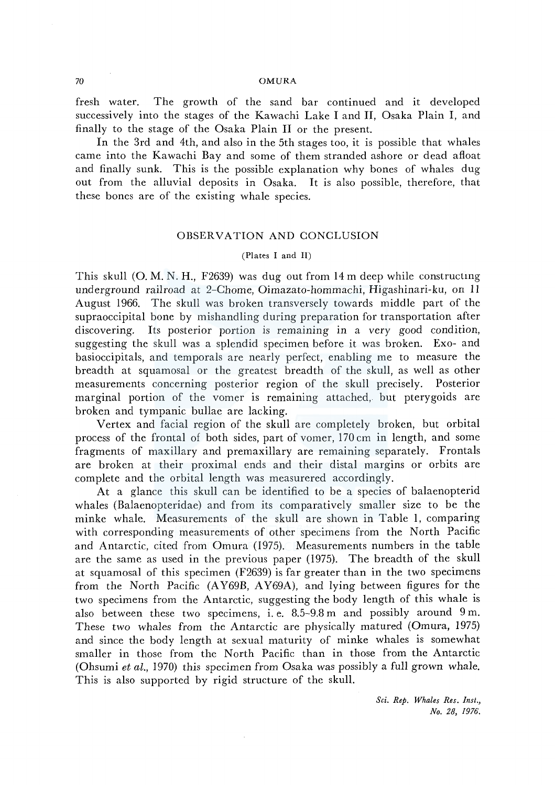#### 70 OMURA

fresh water. The growth of the sand bar continued and it developed successively into the stages of the Kawachi Lake I and II, Osaka Plain I, and finally to the stage of the Osaka Plain II or the present.

In the 3rd and 4th, and also in the 5th stages too, it is possible that whales came into the Kawachi Bay and some of them stranded ashore or dead afloat and finally sunk. This is the possible explanation why bones of whales dug out from the alluvial deposits in Osaka. It is also possible, therefore, that these bones are of the existing whale species.

## OBSERVATION AND CONCLUSION

#### (Plates I and II)

This skull (0. M. N. H., F2639) was dug out from 14 m deep while constructmg underground railroad at 2-Chome, Oimazato-hommachi, Higashinari-ku, on 11 August 1966. The skull was broken transversely towards middle part of the supraoccipital bone by mishandling during preparation for transportation after discovering. Its posterior portion is remaining in a very good condition, suggesting the skull was a splendid specimen before it was broken. Exo- and basioccipitals, and temporals are nearly perfect, enabling me to measure the breadth at squamosal or the greatest breadth of the skull, as well as other measurements concerning posterior region of the skull precisely. Posterior marginal portion of the vomer is remaining attached, but pterygoids are broken and tympanic bullae are lacking.

Vertex and facial region of the skull are completely broken, but orbital process of the frontal of both sides, part of vomer, 170 cm in length, and some fragments of maxillary and premaxillary are remaining separately. Frontals are broken at their proximal ends and their distal margins or orbits are complete and the orbital length was measurered accordingly.

At a glance this skull can be identified to be a species of balaenopterid whales (Balaenopteridae) and from its comparatively smaller size to be the minke whale. Measurements of the skull are shown in Table 1, comparing with corresponding measurements of other specimens from the North Pacific and Antarctic, cited from Omura (1975). Measurements numbers in the table are the same as used in the previous paper (1975). The breadth of the skull at squamosal of this specimen (F2639) is far greater than in the two specimens from the North Pacific (AY69B, AY69A), and lying between figures for the two specimens from the Antarctic, suggesting the body length of this whale is also between these two specimens, i. e. 8.5-9.8 m and possibly around 9 m. These two whales from the Antarctic are physically matured (Omura, 1975) and since the body length at sexual maturity of minke whales is somewhat smaller in those from the North Pacific than in those from the Antarctic (Ohsumi *et al.,* 1970) this specimen from Osaka was possibly a full grown whale. This is also supported by rigid structure of the skull.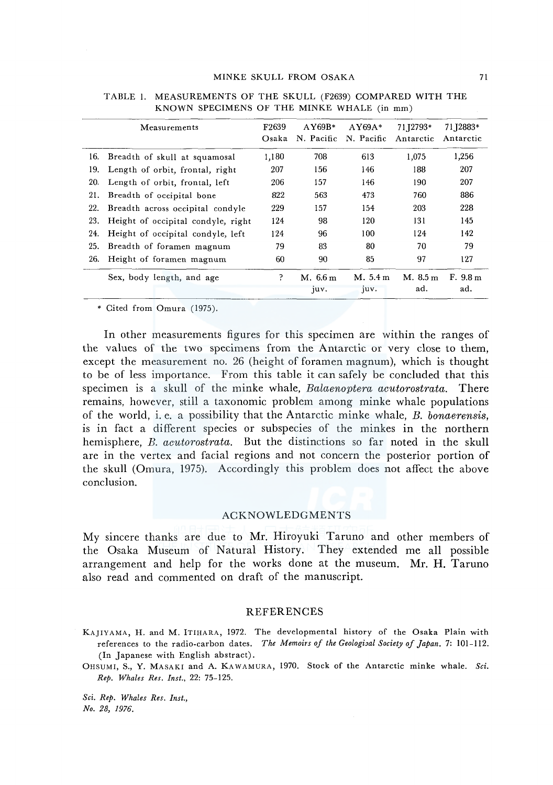|     | Measurements                       | F <sub>2639</sub><br>Osaka | $AY69B*$<br>N. Pacific | $AY69A*$<br>N. Pacific | 71 12793*<br>Antarctic | 71 12883*<br>Antarctic |
|-----|------------------------------------|----------------------------|------------------------|------------------------|------------------------|------------------------|
| 16. | Breadth of skull at squamosal      | 1,180                      | 708                    | 613                    | 1.075                  | 1,256                  |
| 19. | Length of orbit, frontal, right    | 207                        | 156                    | 146                    | 188                    | 207                    |
| 20. | Length of orbit, frontal, left     | 206                        | 157                    | 146                    | 190                    | 207                    |
| 21. | Breadth of occipital bone          | 822                        | 563                    | 473                    | 760                    | 886                    |
| 22. | Breadth across occipital condyle   | 229                        | 157                    | 154                    | 203                    | 228                    |
| 23. | Height of occipital condyle, right | 124                        | 98                     | 120                    | 131                    | 145                    |
| 24. | Height of occipital condyle, left  | 124                        | 96                     | 100                    | 124                    | 142                    |
| 25. | Breadth of foramen magnum          | 79                         | 83                     | 80                     | 70                     | 79                     |
| 26. | Height of foramen magnum           | 60                         | 90                     | 85                     | 97                     | 127                    |
|     | Sex, body length, and age          | P                          | M. 6.6 m<br>juv.       | M. 5.4 m<br>juv.       | M. 8.5 m<br>ad.        | F. 9.8 m<br>ad.        |

| TABLE 1. MEASUREMENTS OF THE SKULL (F2639) COMPARED WITH THE |  |
|--------------------------------------------------------------|--|
| KNOWN SPECIMENS OF THE MINKE WHALE (in mm)                   |  |

• Cited from Omura (1975).

In other measurements figures for this specimen are within the ranges of the values of the two specimens from the Antarctic or very close to them, except the measurement no. 26 (height of foramen magnum), which is thought to be of less importance. From this table it can safely be concluded that this specimen is a skull of the minke whale, *Balaenoptera acutorostrata.* There remains, however, still a taxonomic problem among minke whale populations of the world, i. e. a possibility that the Antarctic minke whale, *B. bonaerensis,*  is in fact a different species or subspecies of the minkes in the northern hemisphere, *B. acutorostrata.* But the distinctions so far noted in the skull are in the vertex and facial regions and not concern the posterior portion of the skull (Omura, 1975). Accordingly this problem does not affect the above conclusion.

#### **ACKNOWLEDGMENTS**

My sincere thanks are due to Mr. Hiroyuki Taruno and other members of the Osaka Museum of Natural History. They extended me all possible arrangement and help for the works done at the museum. Mr. H. Taruno also read and commented on draft of the manuscript.

#### REFERENCES

KAJIYAMA, H. and M. ITIHARA, 1972. The developmental history of the Osaka Plain with references to the radio-carbon dates. The Memoirs of the Geologizal Society of Japan. 7: 101-112. (In Japanese with English abstract).

OHSUMI, S., Y. MASAKI and A. KAWAMURA, 1970. Stock of the Antarctic minke whale. Sci. *Rep. Whales Res. Inst.,* 22: 75-125.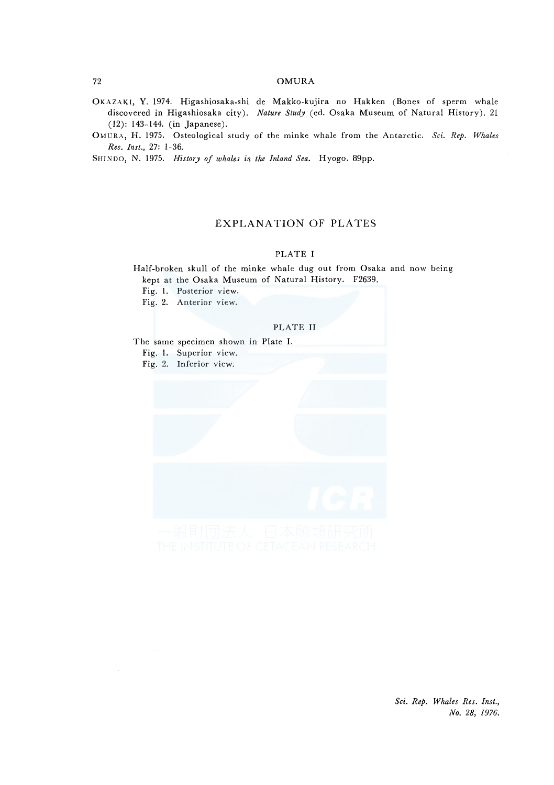#### 72 OMURA

- OKAZAKI, Y. 1974. Higashiosaka-shi de Makko-kujira no Hakken (Bones of sperm whale discovered in Higashiosaka city). *Nature Study* (ed. Osaka Museum of Natural History). 21 (12): 143-144. (in Japanese).
- OMUR.-\, H. 1975. Osteological study of the minke whale from the Antarctic. *Sci. Rep. Whales Res. Inst.,* 27: 1-36.

SHINDO, N. 1975. *History of whales in the Inland Sea*. Hyogo. 89pp.

# EXPLANATION OF PLATES

### PLATE I

Half-broken skull of the minke whale dug out from Osaka and now being kept at the Osaka Museum of Natural History. F2639.

Fig. I. Posterior view.

Fig. 2. Anterior view.

#### PLATE II

The same specimen shown in Plate I.

Fig. I. Superior view.

Fig. 2. Inferior view.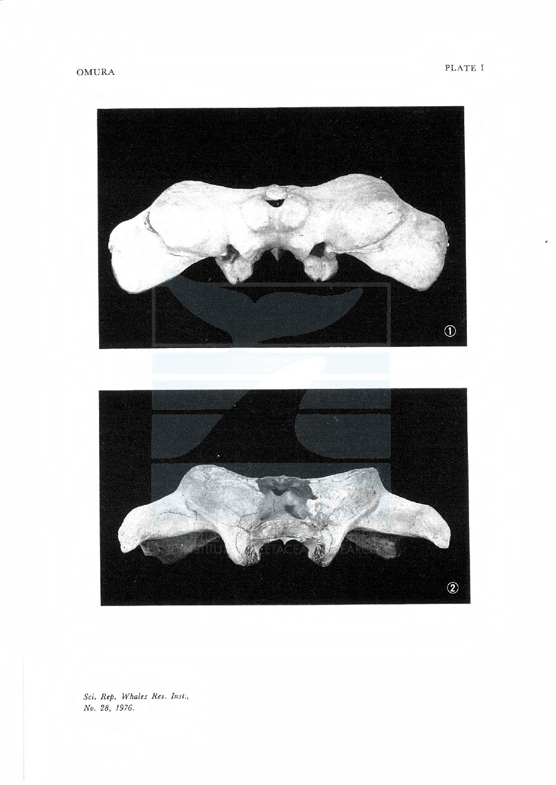